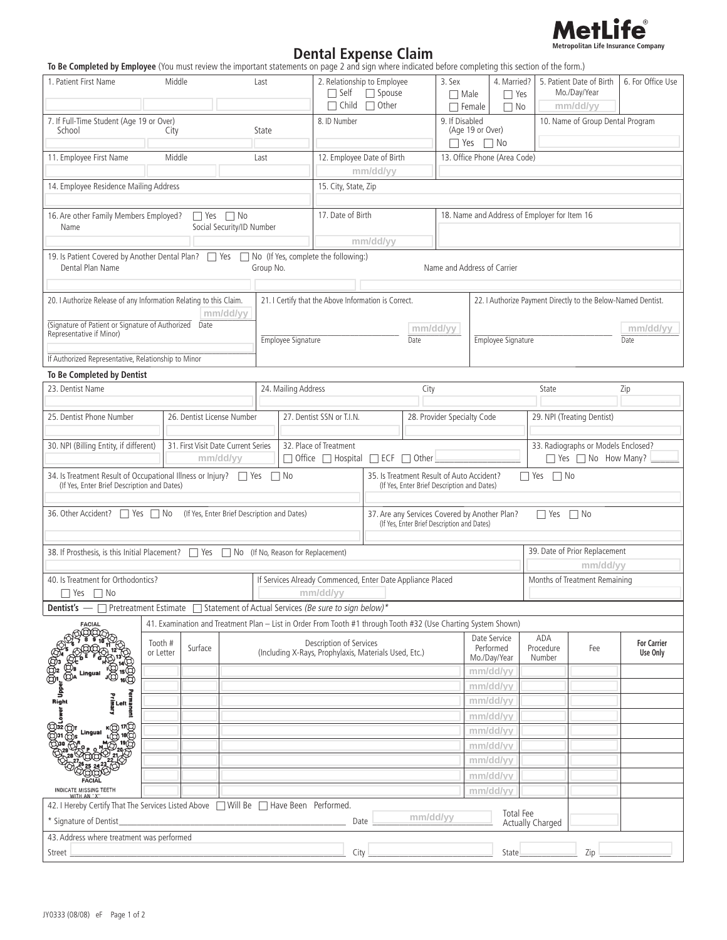

## **Dental Expense Claim**<br>To Be Completed by Employee (You must review the important statements on page 2 and sign where indicated before completing this section of the form.)

| <b>In the completed by Employee</b> (Tou must review the important statements on page z and sign where marcated before completing this section of the form,                                        |                                 |  |  |                     |                                                                                                                |                                                                                                                  |          |                                           |                                                              |                                     |                                |                                                        |                   |  |
|----------------------------------------------------------------------------------------------------------------------------------------------------------------------------------------------------|---------------------------------|--|--|---------------------|----------------------------------------------------------------------------------------------------------------|------------------------------------------------------------------------------------------------------------------|----------|-------------------------------------------|--------------------------------------------------------------|-------------------------------------|--------------------------------|--------------------------------------------------------|-------------------|--|
| 1. Patient First Name                                                                                                                                                                              | Middle                          |  |  | Last                | 2. Relationship to Employee<br>$\Box$ Self $\Box$ Spouse                                                       |                                                                                                                  |          | 3. Sex<br>$\Box$ Male                     | $\Box$ Yes                                                   |                                     |                                | 4. Married?   5. Patient Date of Birth<br>Mo./Day/Year | 6. For Office Use |  |
|                                                                                                                                                                                                    |                                 |  |  |                     | $\Box$ Child $\Box$ Other                                                                                      |                                                                                                                  |          |                                           | $\Box$ Female<br>$\Box$ No                                   |                                     |                                | mm/dd/yy                                               |                   |  |
| 7. If Full-Time Student (Age 19 or Over)<br>School<br>State<br>City                                                                                                                                |                                 |  |  |                     | 8. ID Number                                                                                                   |                                                                                                                  |          | 9. If Disabled                            | (Age 19 or Over)                                             |                                     |                                | 10. Name of Group Dental Program                       |                   |  |
|                                                                                                                                                                                                    |                                 |  |  |                     |                                                                                                                |                                                                                                                  |          |                                           | $\Box$ Yes $\Box$ No                                         |                                     |                                |                                                        |                   |  |
| 11. Employee First Name<br>Middle<br>Last                                                                                                                                                          |                                 |  |  |                     | 12. Employee Date of Birth                                                                                     |                                                                                                                  |          |                                           | 13. Office Phone (Area Code)                                 |                                     |                                |                                                        |                   |  |
|                                                                                                                                                                                                    |                                 |  |  |                     | mm/dd/yy                                                                                                       |                                                                                                                  |          |                                           |                                                              |                                     |                                |                                                        |                   |  |
| 14. Employee Residence Mailing Address                                                                                                                                                             | 15. City, State, Zip            |  |  |                     |                                                                                                                |                                                                                                                  |          |                                           |                                                              |                                     |                                |                                                        |                   |  |
|                                                                                                                                                                                                    |                                 |  |  |                     |                                                                                                                |                                                                                                                  |          |                                           |                                                              |                                     |                                |                                                        |                   |  |
| 16. Are other Family Members Employed?<br>$\Box$ Yes $\Box$ No<br>Social Security/ID Number<br>Name                                                                                                |                                 |  |  |                     | 17. Date of Birth                                                                                              |                                                                                                                  |          |                                           | 18. Name and Address of Employer for Item 16                 |                                     |                                |                                                        |                   |  |
|                                                                                                                                                                                                    | mm/dd/yy                        |  |  |                     |                                                                                                                |                                                                                                                  |          |                                           |                                                              |                                     |                                |                                                        |                   |  |
| 19. Is Patient Covered by Another Dental Plan? 7 Yes 7 No (If Yes, complete the following:)<br>Name and Address of Carrier<br>Dental Plan Name<br>Group No.                                        |                                 |  |  |                     |                                                                                                                |                                                                                                                  |          |                                           |                                                              |                                     |                                |                                                        |                   |  |
|                                                                                                                                                                                                    |                                 |  |  |                     |                                                                                                                |                                                                                                                  |          |                                           |                                                              |                                     |                                |                                                        |                   |  |
| 20. I Authorize Release of any Information Relating to this Claim.<br>mm/dd/yy                                                                                                                     |                                 |  |  |                     | 21. I Certify that the Above Information is Correct.                                                           |                                                                                                                  |          |                                           | 22. I Authorize Payment Directly to the Below-Named Dentist. |                                     |                                |                                                        |                   |  |
| (Signature of Patient or Signature of Authorized Date                                                                                                                                              |                                 |  |  |                     |                                                                                                                | mm/dd/yy                                                                                                         |          |                                           | mm/dd/yy                                                     |                                     |                                |                                                        |                   |  |
| Representative if Minor)<br>Employee Signature                                                                                                                                                     |                                 |  |  |                     | Date                                                                                                           |                                                                                                                  |          |                                           | Employee Signature<br>Date                                   |                                     |                                |                                                        |                   |  |
| If Authorized Representative, Relationship to Minor                                                                                                                                                |                                 |  |  |                     |                                                                                                                |                                                                                                                  |          |                                           |                                                              |                                     |                                |                                                        |                   |  |
| To Be Completed by Dentist                                                                                                                                                                         |                                 |  |  |                     |                                                                                                                |                                                                                                                  |          |                                           |                                                              |                                     |                                |                                                        |                   |  |
| 23. Dentist Name                                                                                                                                                                                   |                                 |  |  |                     |                                                                                                                |                                                                                                                  | State    |                                           | Zip                                                          |                                     |                                |                                                        |                   |  |
|                                                                                                                                                                                                    |                                 |  |  | 24. Mailing Address |                                                                                                                |                                                                                                                  |          | City                                      |                                                              |                                     |                                |                                                        |                   |  |
| 25. Dentist Phone Number<br>26. Dentist License Number                                                                                                                                             |                                 |  |  |                     | 27. Dentist SSN or T.I.N.                                                                                      |                                                                                                                  |          |                                           | 28. Provider Specialty Code                                  |                                     |                                | 29. NPI (Treating Dentist)                             |                   |  |
|                                                                                                                                                                                                    |                                 |  |  |                     |                                                                                                                |                                                                                                                  |          |                                           |                                                              | 33. Radiographs or Models Enclosed? |                                |                                                        |                   |  |
| 30. NPI (Billing Entity, if different)<br>31. First Visit Date Current Series<br>mm/dd/yy                                                                                                          |                                 |  |  |                     | 32. Place of Treatment                                                                                         | □ Office □ Hospital □ ECF □ Other                                                                                |          |                                           |                                                              |                                     | $\Box$ Yes $\Box$ No How Many? |                                                        |                   |  |
| 34. Is Treatment Result of Occupational Illness or Injury?   Yes   No<br>(If Yes, Enter Brief Description and Dates)                                                                               |                                 |  |  |                     |                                                                                                                | 35. Is Treatment Result of Auto Accident?<br>$\Box$ Yes $\Box$ No<br>(If Yes, Enter Brief Description and Dates) |          |                                           |                                                              |                                     |                                |                                                        |                   |  |
|                                                                                                                                                                                                    |                                 |  |  |                     |                                                                                                                |                                                                                                                  |          |                                           |                                                              |                                     |                                |                                                        |                   |  |
| 36. Other Accident?   Yes   No (If Yes, Enter Brief Description and Dates)<br>37. Are any Services Covered by Another Plan?<br>$\Box$ Yes $\Box$ No<br>(If Yes, Enter Brief Description and Dates) |                                 |  |  |                     |                                                                                                                |                                                                                                                  |          |                                           |                                                              |                                     |                                |                                                        |                   |  |
|                                                                                                                                                                                                    |                                 |  |  |                     |                                                                                                                |                                                                                                                  |          |                                           |                                                              |                                     |                                | 39. Date of Prior Replacement                          |                   |  |
| 38. If Prosthesis, is this Initial Placement? 78 Yes No (If No, Reason for Replacement)                                                                                                            |                                 |  |  |                     |                                                                                                                |                                                                                                                  |          |                                           |                                                              |                                     | mm/dd/yy                       |                                                        |                   |  |
| 40. Is Treatment for Orthodontics?                                                                                                                                                                 |                                 |  |  |                     | If Services Already Commenced, Enter Date Appliance Placed                                                     |                                                                                                                  |          |                                           |                                                              |                                     | Months of Treatment Remaining  |                                                        |                   |  |
| $\Box$ Yes $\Box$ No                                                                                                                                                                               |                                 |  |  |                     | mm/dd/yy                                                                                                       |                                                                                                                  |          |                                           |                                                              |                                     |                                |                                                        |                   |  |
| <b>Dentist's</b> — □ Pretreatment Estimate □ Statement of Actual Services (Be sure to sign below)*                                                                                                 |                                 |  |  |                     |                                                                                                                |                                                                                                                  |          |                                           |                                                              |                                     |                                |                                                        |                   |  |
| FACIAL                                                                                                                                                                                             |                                 |  |  |                     | 41. Examination and Treatment Plan - List in Order From Tooth #1 through Tooth #32 (Use Charting System Shown) |                                                                                                                  |          |                                           |                                                              |                                     |                                |                                                        |                   |  |
|                                                                                                                                                                                                    | Tooth #<br>Surface<br>or Letter |  |  |                     | Description of Services<br>(Including X-Rays, Prophylaxis, Materials Used, Etc.)                               |                                                                                                                  |          | Date Service<br>Performed<br>Mo./Day/Year |                                                              | ADA<br>Procedure<br>Number          | Fee                            | <b>For Carrier</b><br>Use Only                         |                   |  |
| Lingual                                                                                                                                                                                            |                                 |  |  |                     |                                                                                                                |                                                                                                                  |          |                                           | mm/dd/yy                                                     |                                     |                                |                                                        |                   |  |
|                                                                                                                                                                                                    |                                 |  |  |                     |                                                                                                                |                                                                                                                  |          |                                           | mm/dd/yy                                                     |                                     |                                |                                                        |                   |  |
|                                                                                                                                                                                                    |                                 |  |  |                     |                                                                                                                |                                                                                                                  |          | mm/dd/yy                                  |                                                              |                                     |                                |                                                        |                   |  |
| →<br>Right<br>→<br>→<br>Permanent<br>Primary<br>Primary                                                                                                                                            |                                 |  |  |                     |                                                                                                                |                                                                                                                  |          | mm/dd/vv                                  |                                                              |                                     |                                |                                                        |                   |  |
| CCCC                                                                                                                                                                                               |                                 |  |  |                     |                                                                                                                |                                                                                                                  |          | mm/dd/yy                                  |                                                              |                                     |                                |                                                        |                   |  |
| Lingual                                                                                                                                                                                            |                                 |  |  |                     |                                                                                                                |                                                                                                                  |          |                                           |                                                              |                                     |                                |                                                        |                   |  |
|                                                                                                                                                                                                    |                                 |  |  |                     |                                                                                                                |                                                                                                                  |          |                                           | mm/dd/vv                                                     |                                     |                                |                                                        |                   |  |
|                                                                                                                                                                                                    |                                 |  |  |                     |                                                                                                                |                                                                                                                  |          |                                           | mm/dd/yy                                                     |                                     |                                |                                                        |                   |  |
| <b>INDICATE MISSING TEETH</b>                                                                                                                                                                      |                                 |  |  |                     |                                                                                                                |                                                                                                                  |          |                                           | mm/dd/yy                                                     |                                     |                                |                                                        |                   |  |
| WITH AN "X"                                                                                                                                                                                        |                                 |  |  |                     |                                                                                                                |                                                                                                                  |          |                                           | mm/dd/yy                                                     |                                     |                                |                                                        |                   |  |
| 42. I Hereby Certify That The Services Listed Above   Will Be   Have Been Performed.                                                                                                               |                                 |  |  |                     |                                                                                                                |                                                                                                                  | mm/dd/yy |                                           |                                                              | <b>Total Fee</b>                    |                                |                                                        |                   |  |
| * Signature of Dentist                                                                                                                                                                             |                                 |  |  |                     | Date                                                                                                           |                                                                                                                  |          |                                           |                                                              | Actually Charged                    |                                |                                                        |                   |  |
| 43. Address where treatment was performed                                                                                                                                                          |                                 |  |  |                     |                                                                                                                |                                                                                                                  |          |                                           |                                                              |                                     |                                |                                                        |                   |  |
| Street                                                                                                                                                                                             |                                 |  |  |                     | City                                                                                                           |                                                                                                                  |          |                                           | State                                                        |                                     |                                | Zip                                                    |                   |  |